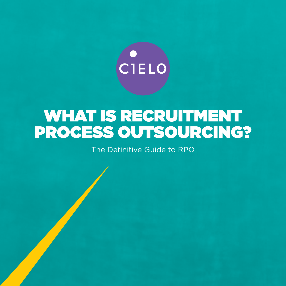

# WHAT IS RECRUITMENT PROCESS OUTSOURCING?

The Definitive Guide to RPO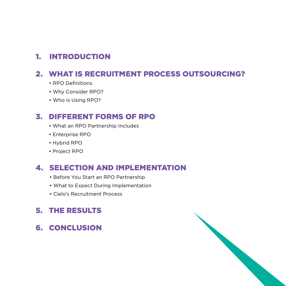### 1. INTRODUCTION

### 2. WHAT IS RECRUITMENT PROCESS OUTSOURCING?

- RPO Definitions
- Why Consider RPO?
- Who is Using RPO?

### 3. DIFFERENT FORMS OF RPO

- What an RPO Partnership Includes
- Enterprise RPO
- Hybrid RPO
- Project RPO

### 4. SELECTION AND IMPLEMENTATION

- Before You Start an RPO Partnership
- What to Expect During Implementation
- Cielo's Recruitment Process

### 5. THE RESULTS

6. CONCLUSION

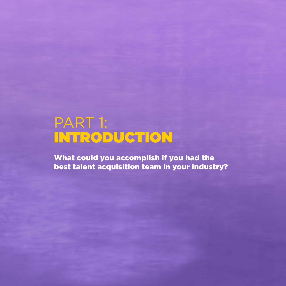# PART 1: INTRODUCTION

What could you accomplish if you had the best talent acquisition team in your industry?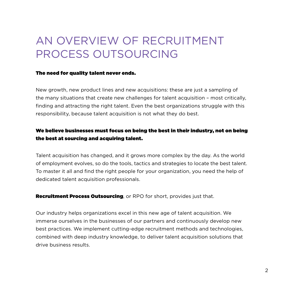## AN OVERVIEW OF RECRUITMENT PROCESS OUTSOURCING

#### The need for quality talent never ends.

responsibility, because talent acquisition is not what they do best. New growth, new product lines and new acquisitions: these are just a sampling of the many situations that create new challenges for talent acquisition – most critically, finding and attracting the right talent. Even the best organizations struggle with this

#### We believe businesses must focus on being the best in their industry, not on being the best at sourcing and acquiring talent.

Talent acquisition has changed, and it grows more complex by the day. As the world of employment evolves, so do the tools, tactics and strategies to locate the best talent. To master it all and find the right people for your organization, you need the help of dedicated talent acquisition professionals.

**Recruitment Process Outsourcing**, or RPO for short, provides just that.

Our industry helps organizations excel in this new age of talent acquisition. We immerse ourselves in the businesses of our partners and continuously develop new best practices. We implement cutting-edge recruitment methods and technologies, combined with deep industry knowledge, to deliver talent acquisition solutions that drive business results.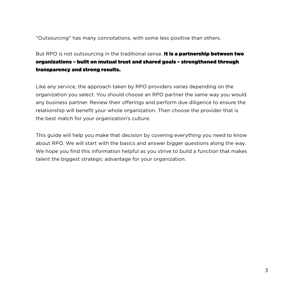"Outsourcing" has many connotations, with some less positive than others.

### But RPO is not outsourcing in the traditional sense. It is a partnership between two organizations – built on mutual trust and shared goals – strengthened through transparency and strong results.

Like any service, the approach taken by RPO providers varies depending on the organization you select. You should choose an RPO partner the same way you would any business partner. Review their offerings and perform due diligence to ensure the relationship will benefit your whole organization. Then choose the provider that is the best match for your organization's culture.

This guide will help you make that decision by covering everything you need to know about RPO. We will start with the basics and answer bigger questions along the way. We hope you find this information helpful as you strive to build a function that makes talent the biggest strategic advantage for your organization.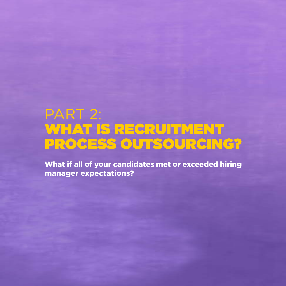# PART 2: WHAT IS RECRUITMENT PROCESS OUTSOURCING?

What if all of your candidates met or exceeded hiring manager expectations?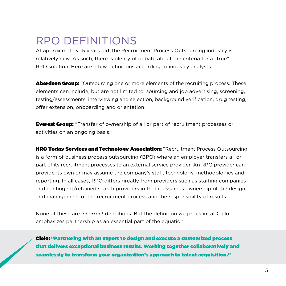### RPO DEFINITIONS

At approximately 15 years old, the Recruitment Process Outsourcing industry is relatively new. As such, there is plenty of debate about the criteria for a "true" RPO solution. Here are a few definitions according to industry analysts:

Aberdeen Group: "Outsourcing one or more elements of the recruiting process. These elements can include, but are not limited to: sourcing and job advertising, screening, testing/assessments, interviewing and selection, background verification, drug testing, offer extension, onboarding and orientation."

**Everest Group:** "Transfer of ownership of all or part of recruitment processes or activities on an ongoing basis."

**HRO Today Services and Technology Association:** "Recruitment Process Outsourcing is a form of business process outsourcing (BPO) where an employer transfers all or part of its recruitment processes to an external service provider. An RPO provider can provide its own or may assume the company's staff, technology, methodologies and reporting. In all cases, RPO differs greatly from providers such as staffing companies and contingent/retained search providers in that it assumes ownership of the design and management of the recruitment process and the responsibility of results."

None of these are *incorrect* definitions. But the definition we proclaim at Cielo emphasizes partnership as an essential part of the equation:

Cielo: "Partnering with an expert to design and execute a customized process that delivers exceptional business results. Working together collaboratively and seamlessly to transform your organization's approach to talent acquisition."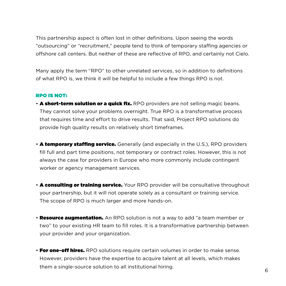This partnership aspect is often lost in other definitions. Upon seeing the words "outsourcing" or "recruitment," people tend to think of temporary staffing agencies or offshore call centers. But neither of these are reflective of RPO, and certainly not Cielo.

Many apply the term "RPO" to other unrelated services, so in addition to definitions of what RPO is, we think it will be helpful to include a few things RPO is not.

#### RPO IS NOT:

- **A short-term solution or a quick fix.** RPO providers are not selling magic beans. They cannot solve your problems overnight. True RPO is a transformative process that requires time and effort to drive results. That said, Project RPO solutions do provide high quality results on relatively short timeframes.
- A temporary staffing service. Generally (and especially in the U.S.), RPO providers fill full and part time positions, not temporary or contract roles. However, this is not always the case for providers in Europe who more commonly include contingent worker or agency management services.
- **A consulting or training service.** Your RPO provider will be consultative throughout your partnership, but it will not operate solely as a consultant or training service. The scope of RPO is much larger and more hands-on.
- **Resource augmentation.** An RPO solution is not a way to add "a team member or two" to your existing HR team to fill roles. It is a transformative partnership between your provider and your organization.
- **For one-off hires.** RPO solutions require certain volumes in order to make sense. However, providers have the expertise to acquire talent at all levels, which makes them a single-source solution to all institutional hiring. <sup>6</sup>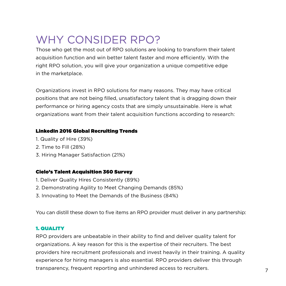## WHY CONSIDER RPO?

Those who get the most out of RPO solutions are looking to transform their talent acquisition function and win better talent faster and more efficiently. With the right RPO solution, you will give your organization a unique competitive edge in the marketplace.

Organizations invest in RPO solutions for many reasons. They may have critical positions that are not being filled, unsatisfactory talent that is dragging down their performance or hiring agency costs that are simply unsustainable. Here is what organizations want from their talent acquisition functions according to research:

#### LinkedIn 2016 Global Recruiting Trends

- 1. Quality of Hire (39%)
- 2. Time to Fill (28%)
- 3. Hiring Manager Satisfaction (21%)

#### Cielo's Talent Acquisition 360 Survey

- 1. Deliver Quality Hires Consistently (89%)
- 2. Demonstrating Agility to Meet Changing Demands (85%)
- 3. Innovating to Meet the Demands of the Business (84%)

You can distill these down to five items an RPO provider must deliver in any partnership:

#### 1. QUALITY

RPO providers are unbeatable in their ability to find and deliver quality talent for organizations. A key reason for this is the expertise of their recruiters. The best providers hire recruitment professionals and invest heavily in their training. A quality experience for hiring managers is also essential. RPO providers deliver this through transparency, frequent reporting and unhindered access to recruiters.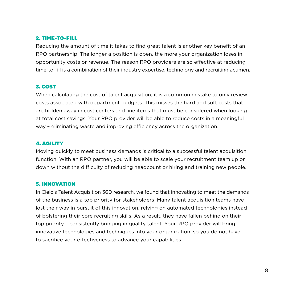#### 2. TIME-TO-FILL

Reducing the amount of time it takes to find great talent is another key benefit of an RPO partnership. The longer a position is open, the more your organization loses in opportunity costs or revenue. The reason RPO providers are so effective at reducing time-to-fill is a combination of their industry expertise, technology and recruiting acumen.

#### 3. COST

When calculating the cost of talent acquisition, it is a common mistake to only review costs associated with department budgets. This misses the hard and soft costs that are hidden away in cost centers and line items that must be considered when looking at total cost savings. Your RPO provider will be able to reduce costs in a meaningful way – eliminating waste and improving efficiency across the organization.

#### 4. AGILITY

Moving quickly to meet business demands is critical to a successful talent acquisition function. With an RPO partner, you will be able to scale your recruitment team up or down without the difficulty of reducing headcount or hiring and training new people.

#### 5. INNOVATION

In Cielo's Talent Acquisition 360 research, we found that innovating to meet the demands of the business is a top priority for stakeholders. Many talent acquisition teams have lost their way in pursuit of this innovation, relying on automated technologies instead of bolstering their core recruiting skills. As a result, they have fallen behind on their top priority – consistently bringing in quality talent. Your RPO provider will bring innovative technologies and techniques into your organization, so you do not have to sacrifice your effectiveness to advance your capabilities.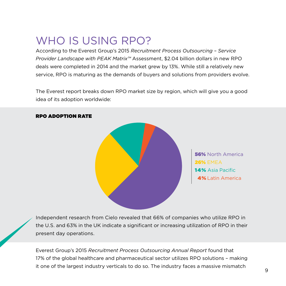### WHO IS USING RPO?

According to the Everest Group's 2015 *Recruitment Process Outsourcing – Service Provider Landscape with PEAK Matrix™* Assessment, \$2.04 billion dollars in new RPO deals were completed in 2014 and the market grew by 13%. While still a relatively new service, RPO is maturing as the demands of buyers and solutions from providers evolve.

The Everest report breaks down RPO market size by region, which will give you a good idea of its adoption worldwide:



#### RPO ADOPTION RATE

56% North America 26% EMEA 14% Asia Pacific 4% Latin America

Independent research from Cielo revealed that 66% of companies who utilize RPO in the U.S. and 63% in the UK indicate a significant or increasing utilization of RPO in their present day operations.

Everest Group's 2015 *Recruitment Process Outsourcing Annual Report* found that 17% of the global healthcare and pharmaceutical sector utilizes RPO solutions – making it one of the largest industry verticals to do so. The industry faces a massive mismatch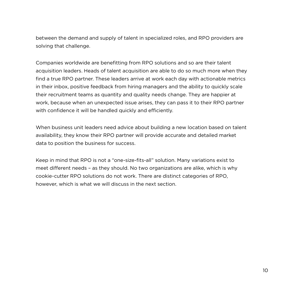between the demand and supply of talent in specialized roles, and RPO providers are solving that challenge.

Companies worldwide are benefitting from RPO solutions and so are their talent acquisition leaders. Heads of talent acquisition are able to do so much more when they find a true RPO partner. These leaders arrive at work each day with actionable metrics in their inbox, positive feedback from hiring managers and the ability to quickly scale their recruitment teams as quantity and quality needs change. They are happier at work, because when an unexpected issue arises, they can pass it to their RPO partner with confidence it will be handled quickly and efficiently.

When business unit leaders need advice about building a new location based on talent availability, they know their RPO partner will provide accurate and detailed market data to position the business for success.

Keep in mind that RPO is not a "one-size-fits-all" solution. Many variations exist to meet different needs – as they should. No two organizations are alike, which is why cookie-cutter RPO solutions do not work. There are distinct categories of RPO, however, which is what we will discuss in the next section.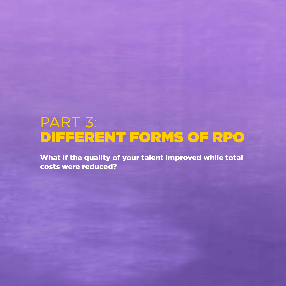# PART 3: DIFFERENT FORMS OF RPO

What if the quality of your talent improved while total costs were reduced?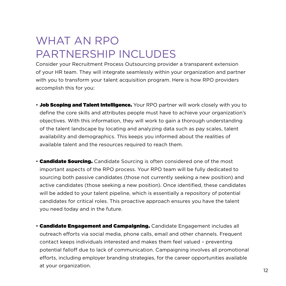## WHAT AN RPO PARTNERSHIP INCLUDES

Consider your Recruitment Process Outsourcing provider a transparent extension of your HR team. They will integrate seamlessly within your organization and partner with you to transform your talent acquisition program. Here is how RPO providers accomplish this for you:

- Job Scoping and Talent Intelligence. Your RPO partner will work closely with you to define the core skills and attributes people must have to achieve your organization's objectives. With this information, they will work to gain a thorough understanding of the talent landscape by locating and analyzing data such as pay scales, talent availability and demographics. This keeps you informed about the realities of available talent and the resources required to reach them.
- **Candidate Sourcing.** Candidate Sourcing is often considered one of the most important aspects of the RPO process. Your RPO team will be fully dedicated to sourcing both passive candidates (those not currently seeking a new position) and active candidates (those seeking a new position). Once identified, these candidates will be added to your talent pipeline, which is essentially a repository of potential candidates for critical roles. This proactive approach ensures you have the talent you need today and in the future.
- **Candidate Engagement and Campaigning.** Candidate Engagement includes all outreach efforts via social media, phone calls, email and other channels. Frequent contact keeps individuals interested and makes them feel valued – preventing potential falloff due to lack of communication. Campaigning involves all promotional efforts, including employer branding strategies, for the career opportunities available at your organization.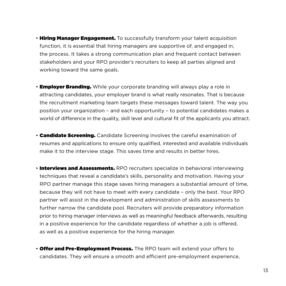- Hiring Manager Engagement. To successfully transform your talent acquisition function, it is essential that hiring managers are supportive of, and engaged in, the process. It takes a strong communication plan and frequent contact between stakeholders and your RPO provider's recruiters to keep all parties aligned and working toward the same goals.
- **Employer Branding.** While your corporate branding will always play a role in attracting candidates, your employer brand is what really resonates. That is because the recruitment marketing team targets these messages toward talent. The way you position your organization – and each opportunity – to potential candidates makes a world of difference in the quality, skill level and cultural fit of the applicants you attract.
- **Candidate Screening.** Candidate Screening involves the careful examination of resumes and applications to ensure only qualified, interested and available individuals make it to the interview stage. This saves time and results in better hires.
- **Interviews and Assessments.** RPO recruiters specialize in behavioral interviewing techniques that reveal a candidate's skills, personality and motivation. Having your RPO partner manage this stage saves hiring managers a substantial amount of time, because they will not have to meet with every candidate – only the best. Your RPO partner will assist in the development and administration of skills assessments to further narrow the candidate pool. Recruiters will provide preparatory information prior to hiring manager interviews as well as meaningful feedback afterwards, resulting in a positive experience for the candidate regardless of whether a job is offered, as well as a positive experience for the hiring manager.
- Offer and Pre-Employment Process. The RPO team will extend your offers to candidates. They will ensure a smooth and efficient pre-employment experience,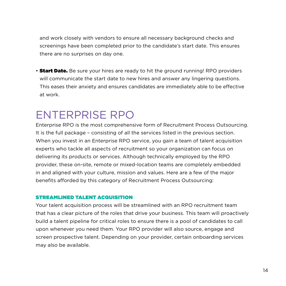and work closely with vendors to ensure all necessary background checks and screenings have been completed prior to the candidate's start date. This ensures there are no surprises on day one.

• **Start Date.** Be sure your hires are ready to hit the ground running! RPO providers will communicate the start date to new hires and answer any lingering questions. This eases their anxiety and ensures candidates are immediately able to be effective at work.

### ENTERPRISE RPO

Enterprise RPO is the most comprehensive form of Recruitment Process Outsourcing. It is the full package – consisting of all the services listed in the previous section. When you invest in an Enterprise RPO service, you gain a team of talent acquisition experts who tackle all aspects of recruitment so your organization can focus on delivering its products or services. Although technically employed by the RPO provider, these on-site, remote or mixed-location teams are completely embedded in and aligned with your culture, mission and values. Here are a few of the major benefits afforded by this category of Recruitment Process Outsourcing:

#### STREAMLINED TALENT ACQUISITION

Your talent acquisition process will be streamlined with an RPO recruitment team that has a clear picture of the roles that drive your business. This team will proactively build a talent pipeline for critical roles to ensure there is a pool of candidates to call upon whenever you need them. Your RPO provider will also source, engage and screen prospective talent. Depending on your provider, certain onboarding services may also be available.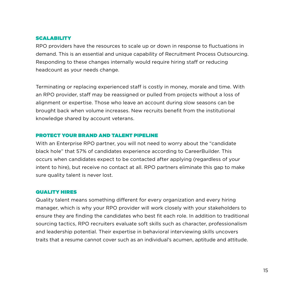#### **SCALABILITY**

RPO providers have the resources to scale up or down in response to fluctuations in demand. This is an essential and unique capability of Recruitment Process Outsourcing. Responding to these changes internally would require hiring staff or reducing headcount as your needs change.

Terminating or replacing experienced staff is costly in money, morale and time. With an RPO provider, staff may be reassigned or pulled from projects without a loss of alignment or expertise. Those who leave an account during slow seasons can be brought back when volume increases. New recruits benefit from the institutional knowledge shared by account veterans.

#### PROTECT YOUR BRAND AND TALENT PIPELINE

With an Enterprise RPO partner, you will not need to worry about the "candidate black hole" that 57% of candidates experience according to CareerBuilder. This occurs when candidates expect to be contacted after applying (regardless of your intent to hire), but receive no contact at all. RPO partners eliminate this gap to make sure quality talent is never lost.

#### QUALITY HIRES

Quality talent means something different for every organization and every hiring manager, which is why your RPO provider will work closely with your stakeholders to ensure they are finding the candidates who best fit each role. In addition to traditional sourcing tactics, RPO recruiters evaluate soft skills such as character, professionalism and leadership potential. Their expertise in behavioral interviewing skills uncovers traits that a resume cannot cover such as an individual's acumen, aptitude and attitude.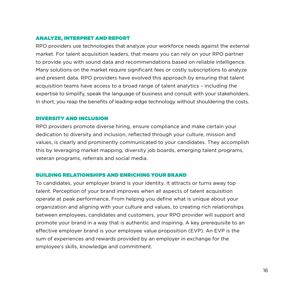#### ANALYZE, INTERPRET AND REPORT

RPO providers use technologies that analyze your workforce needs against the external market. For talent acquisition leaders, that means you can rely on your RPO partner to provide you with sound data and recommendations based on reliable intelligence. Many solutions on the market require significant fees or costly subscriptions to analyze and present data. RPO providers have evolved this approach by ensuring that talent acquisition teams have access to a broad range of talent analytics – including the expertise to simplify, speak the language of business and consult with your stakeholders. In short, you reap the benefits of leading-edge technology without shouldering the costs.

#### DIVERSITY AND INCLUSION

RPO providers promote diverse hiring, ensure compliance and make certain your dedication to diversity and inclusion, reflected through your culture, mission and values, is clearly and prominently communicated to your candidates. They accomplish this by leveraging market mapping, diversity job boards, emerging talent programs, veteran programs, referrals and social media.

#### BUILDING RELATIONSHIPS AND ENRICHING YOUR BRAND

To candidates, your employer brand is your identity. It attracts or turns away top talent. Perception of your brand improves when all aspects of talent acquisition operate at peak performance. From helping you define what is unique about your organization and aligning with your culture and values, to creating rich relationships between employees, candidates and customers, your RPO provider will support and promote your brand in a way that is authentic and inspiring. A key prerequisite to an effective employer brand is your employee value proposition (EVP). An EVP is the sum of experiences and rewards provided by an employer in exchange for the employee's skills, knowledge and commitment.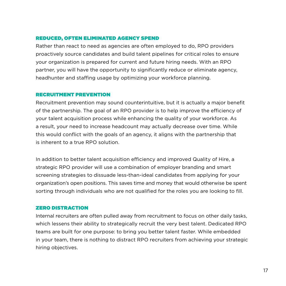#### REDUCED, OFTEN ELIMINATED AGENCY SPEND

Rather than react to need as agencies are often employed to do, RPO providers proactively source candidates and build talent pipelines for critical roles to ensure your organization is prepared for current and future hiring needs. With an RPO partner, you will have the opportunity to significantly reduce or eliminate agency, headhunter and staffing usage by optimizing your workforce planning.

#### RECRUITMENT PREVENTION

Recruitment prevention may sound counterintuitive, but it is actually a major benefit of the partnership. The goal of an RPO provider is to help improve the efficiency of your talent acquisition process while enhancing the quality of your workforce. As a result, your need to increase headcount may actually decrease over time. While this would conflict with the goals of an agency, it aligns with the partnership that is inherent to a true RPO solution.

In addition to better talent acquisition efficiency and improved Quality of Hire, a strategic RPO provider will use a combination of employer branding and smart screening strategies to dissuade less-than-ideal candidates from applying for your organization's open positions. This saves time and money that would otherwise be spent sorting through individuals who are not qualified for the roles you are looking to fill.

#### ZERO DISTRACTION

Internal recruiters are often pulled away from recruitment to focus on other daily tasks, which lessens their ability to strategically recruit the very best talent. Dedicated RPO teams are built for one purpose: to bring you better talent faster. While embedded in your team, there is nothing to distract RPO recruiters from achieving your strategic hiring objectives.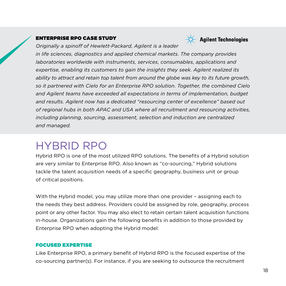#### ENTERPRISE RPO CASE STUDY



*Originally a spinoff of Hewlett-Packard, Agilent is a leader* 

*in life sciences, diagnostics and applied chemical markets. The company provides laboratories worldwide with instruments, services, consumables, applications and expertise, enabling its customers to gain the insights they seek. Agilent realized its ability to attract and retain top talent from around the globe was key to its future growth, so it partnered with Cielo for an Enterprise RPO solution. Together, the combined Cielo and Agilent teams have exceeded all expectations in terms of implementation, budget and results. Agilent now has a dedicated "resourcing center of excellence" based out of regional hubs in both APAC and USA where all recruitment and resourcing activities, including planning, sourcing, assessment, selection and induction are centralized and managed.*

### HYBRID RPO

Hybrid RPO is one of the most utilized RPO solutions. The benefits of a Hybrid solution are very similar to Enterprise RPO. Also known as "co-sourcing," Hybrid solutions tackle the talent acquisition needs of a specific geography, business unit or group of critical positions.

With the Hybrid model, you may utilize more than one provider – assigning each to the needs they best address. Providers could be assigned by role, geography, process point or any other factor. You may also elect to retain certain talent acquisition functions in-house. Organizations gain the following benefits in addition to those provided by Enterprise RPO when adopting the Hybrid model:

#### FOCUSED EXPERTISE

Like Enterprise RPO, a primary benefit of Hybrid RPO is the focused expertise of the co-sourcing partner(s). For instance, if you are seeking to outsource the recruitment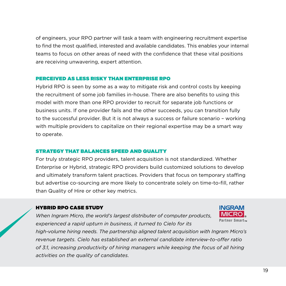of engineers, your RPO partner will task a team with engineering recruitment expertise to find the most qualified, interested and available candidates. This enables your internal teams to focus on other areas of need with the confidence that these vital positions are receiving unwavering, expert attention.

#### PERCEIVED AS LESS RISKY THAN ENTERPRISE RPO

Hybrid RPO is seen by some as a way to mitigate risk and control costs by keeping the recruitment of some job families in-house. There are also benefits to using this model with more than one RPO provider to recruit for separate job functions or business units. If one provider fails and the other succeeds, you can transition fully to the successful provider. But it is not always a success or failure scenario – working with multiple providers to capitalize on their regional expertise may be a smart way to operate.

#### STRATEGY THAT BALANCES SPEED AND QUALITY

For truly strategic RPO providers, talent acquisition is not standardized. Whether Enterprise or Hybrid, strategic RPO providers build customized solutions to develop and ultimately transform talent practices. Providers that focus on temporary staffing but advertise co-sourcing are more likely to concentrate solely on time-to-fill, rather than Quality of Hire or other key metrics.

#### HYBRID RPO CASE STUDY

*When Ingram Micro, the world's largest distributer of computer products, experienced a rapid upturn in business, it turned to Cielo for its* 



*high-volume hiring needs. The partnership aligned talent acquisition with Ingram Micro's revenue targets. Cielo has established an external candidate interview-to-offer ratio of 3:1, increasing productivity of hiring managers while keeping the focus of all hiring activities on the quality of candidates.*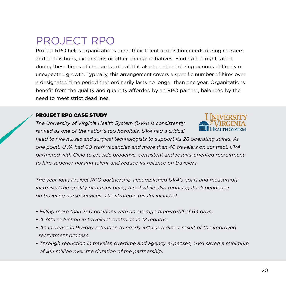### PROJECT RPO

Project RPO helps organizations meet their talent acquisition needs during mergers and acquisitions, expansions or other change initiatives. Finding the right talent during these times of change is critical. It is also beneficial during periods of timely or unexpected growth. Typically, this arrangement covers a specific number of hires over a designated time period that ordinarily lasts no longer than one year. Organizations benefit from the quality and quantity afforded by an RPO partner, balanced by the need to meet strict deadlines.

#### PROJECT RPO CASE STUDY

*The University of Virginia Health System (UVA) is consistently ranked as one of the nation's top hospitals. UVA had a critical* 



*need to hire nurses and surgical technologists to support its 28 operating suites. At one point, UVA had 60 staff vacancies and more than 40 travelers on contract. UVA partnered with Cielo to provide proactive, consistent and results-oriented recruitment to hire superior nursing talent and reduce its reliance on travelers.*

*The year-long Project RPO partnership accomplished UVA's goals and measurably increased the quality of nurses being hired while also reducing its dependency on traveling nurse services. The strategic results included:*

- *Filling more than 350 positions with an average time-to-fill of 64 days.*
- *A 74% reduction in travelers' contracts in 12 months.*
- *An increase in 90-day retention to nearly 94% as a direct result of the improved recruitment process.*
- *Through reduction in traveler, overtime and agency expenses, UVA saved a minimum of \$1.1 million over the duration of the partnership.*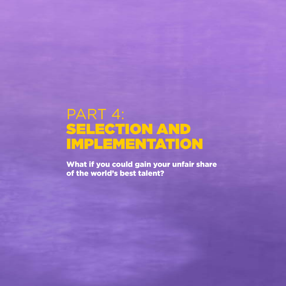# PART 4: SELECTION AND IMPLEMENTATION

What if you could gain your unfair share of the world's best talent?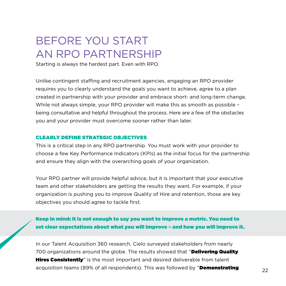### BEFORE YOU START AN RPO PARTNERSHIP

Starting is always the hardest part. Even with RPO.

Unlike contingent staffing and recruitment agencies, engaging an RPO provider requires you to clearly understand the goals you want to achieve, agree to a plan created in partnership with your provider and embrace short- and long-term change. While not always simple, your RPO provider will make this as smooth as possible being consultative and helpful throughout the process. Here are a few of the obstacles you and your provider must overcome sooner rather than later.

#### CLEARLY DEFINE STRATEGIC OBJECTIVES

This is a critical step in any RPO partnership. You must work with your provider to choose a few Key Performance Indicators (KPIs) as the initial focus for the partnership and ensure they align with the overarching goals of your organization.

Your RPO partner will provide helpful advice, but it is important that your executive team and other stakeholders are getting the results they want. For example, if your organization is pushing you to improve Quality of Hire and retention, those are key objectives you should agree to tackle first.

Keep in mind: it is not enough to say you want to improve a metric. You need to set clear expectations about what you will improve – and how you will improve it.

In our Talent Acquisition 360 research, Cielo surveyed stakeholders from nearly 700 organizations around the globe. The results showed that "Delivering Quality **Hires Consistently**" is the most important and desired deliverable from talent acquisition teams (89% of all respondents). This was followed by "**Demonstrating**  $22$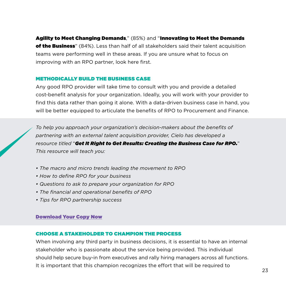Agility to Meet Changing Demands," (85%) and "Innovating to Meet the Demands

of the Business" (84%). Less than half of all stakeholders said their talent acquisition teams were performing well in these areas. If you are unsure what to focus on improving with an RPO partner, look here first.

#### METHODICALLY BUILD THE BUSINESS CASE

Any good RPO provider will take time to consult with you and provide a detailed cost-benefit analysis for your organization. Ideally, you will work with your provider to find this data rather than going it alone. With a data-driven business case in hand, you will be better equipped to articulate the benefits of RPO to Procurement and Finance.

*To help you approach your organization's decision-makers about the benefits of partnering with an external talent acquisition provider, Cielo has developed a resource titled* "*Get It Right to Get Results: Creating the Business Case for RPO.*" *This resource will teach you:*

- *The macro and micro trends leading the movement to RPO*
- *How to define RPO for your business*
- *Questions to ask to prepare your organization for RPO*
- *The financial and operational benefits of RPO*
- *Tips for RPO partnership success*

#### [Download Your Copy Now](http://resources.cielotalent.com/wp-creating-business-case-for-rpo-rsp.html)

#### CHOOSE A STAKEHOLDER TO CHAMPION THE PROCESS

When involving any third party in business decisions, it is essential to have an internal stakeholder who is passionate about the service being provided. This individual should help secure buy-in from executives and rally hiring managers across all functions. It is important that this champion recognizes the effort that will be required to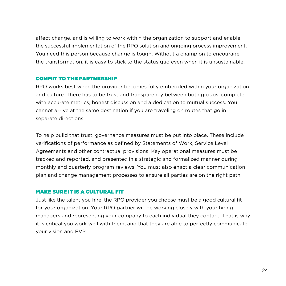affect change, and is willing to work within the organization to support and enable the successful implementation of the RPO solution and ongoing process improvement. You need this person because change is tough. Without a champion to encourage the transformation, it is easy to stick to the status quo even when it is unsustainable.

#### COMMIT TO THE PARTNERSHIP

RPO works best when the provider becomes fully embedded within your organization and culture. There has to be trust and transparency between both groups, complete with accurate metrics, honest discussion and a dedication to mutual success. You cannot arrive at the same destination if you are traveling on routes that go in separate directions.

To help build that trust, governance measures must be put into place. These include verifications of performance as defined by Statements of Work, Service Level Agreements and other contractual provisions. Key operational measures must be tracked and reported, and presented in a strategic and formalized manner during monthly and quarterly program reviews. You must also enact a clear communication plan and change management processes to ensure all parties are on the right path.

#### MAKE SURE IT IS A CULTURAL FIT

Just like the talent you hire, the RPO provider you choose must be a good cultural fit for your organization. Your RPO partner will be working closely with your hiring managers and representing your company to each individual they contact. That is why it is critical you work well with them, and that they are able to perfectly communicate your vision and EVP.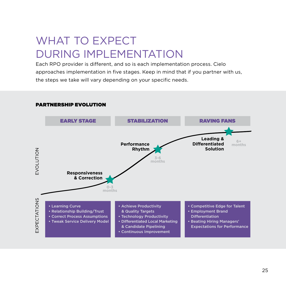## WHAT TO EXPECT DURING IMPLEMENTATION

Each RPO provider is different, and so is each implementation process. Cielo approaches implementation in five stages. Keep in mind that if you partner with us, the steps we take will vary depending on your specific needs.



#### PARTNERSHIP EVOLUTION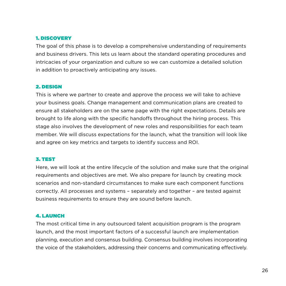#### 1. DISCOVERY

The goal of this phase is to develop a comprehensive understanding of requirements and business drivers. This lets us learn about the standard operating procedures and intricacies of your organization and culture so we can customize a detailed solution in addition to proactively anticipating any issues.

#### 2. DESIGN

This is where we partner to create and approve the process we will take to achieve your business goals. Change management and communication plans are created to ensure all stakeholders are on the same page with the right expectations. Details are brought to life along with the specific handoffs throughout the hiring process. This stage also involves the development of new roles and responsibilities for each team member. We will discuss expectations for the launch, what the transition will look like and agree on key metrics and targets to identify success and ROI.

#### 3. TEST

Here, we will look at the entire lifecycle of the solution and make sure that the original requirements and objectives are met. We also prepare for launch by creating mock scenarios and non-standard circumstances to make sure each component functions correctly. All processes and systems – separately and together – are tested against business requirements to ensure they are sound before launch.

#### 4. LAUNCH

The most critical time in any outsourced talent acquisition program is the program launch, and the most important factors of a successful launch are implementation planning, execution and consensus building. Consensus building involves incorporating the voice of the stakeholders, addressing their concerns and communicating effectively.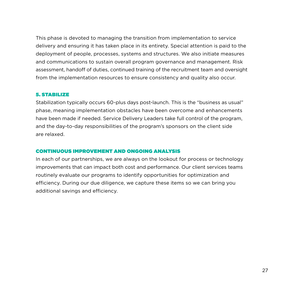This phase is devoted to managing the transition from implementation to service delivery and ensuring it has taken place in its entirety. Special attention is paid to the deployment of people, processes, systems and structures. We also initiate measures and communications to sustain overall program governance and management. Risk assessment, handoff of duties, continued training of the recruitment team and oversight from the implementation resources to ensure consistency and quality also occur.

#### 5. STABILIZE

Stabilization typically occurs 60-plus days post-launch. This is the "business as usual" phase, meaning implementation obstacles have been overcome and enhancements have been made if needed. Service Delivery Leaders take full control of the program, and the day-to-day responsibilities of the program's sponsors on the client side are relaxed.

#### CONTINUOUS IMPROVEMENT AND ONGOING ANALYSIS

In each of our partnerships, we are always on the lookout for process or technology improvements that can impact both cost and performance. Our client services teams routinely evaluate our programs to identify opportunities for optimization and efficiency. During our due diligence, we capture these items so we can bring you additional savings and efficiency.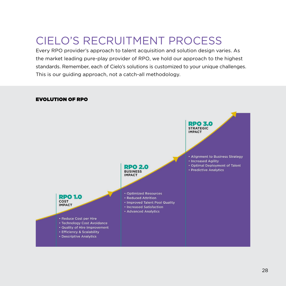## CIELO'S RECRUITMENT PROCESS

Every RPO provider's approach to talent acquisition and solution design varies. As the market leading pure-play provider of RPO, we hold our approach to the highest standards. Remember, each of Cielo's solutions is customized to your unique challenges. This is our guiding approach, not a catch-all methodology.

#### EVOLUTION OF RPO

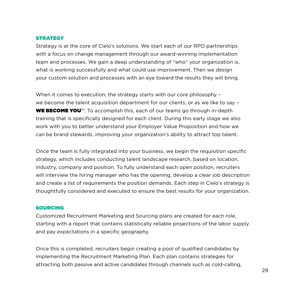#### **STRATEGY**

Strategy is at the core of Cielo's solutions. We start each of our RPO partnerships with a focus on change management through our award-winning implementation team and processes. We gain a deep understanding of "who" your organization is, what is working successfully and what could use improvement. Then we design your custom solution and processes with an eye toward the results they will bring.

When it comes to execution, the strategy starts with our core philosophy we become the talent acquisition department for our clients, or as we like to say – WE BECOME YOU<sup>™</sup>. To accomplish this, each of our teams go through in-depth training that is specifically designed for each client. During this early stage we also work with you to better understand your Employer Value Proposition and how we can be brand stewards, improving your organization's ability to attract top talent.

Once the team is fully integrated into your business, we begin the requisition specific strategy, which includes conducting talent landscape research, based on location, industry, company and position. To fully understand each open position, recruiters will interview the hiring manager who has the opening, develop a clear job description and create a list of requirements the position demands. Each step in Cielo's strategy is thoughtfully considered and executed to ensure the best results for your organization.

#### SOURCING

Customized Recruitment Marketing and Sourcing plans are created for each role, starting with a report that contains statistically reliable projections of the labor supply and pay expectations in a specific geography.

Once this is completed, recruiters begin creating a pool of qualified candidates by implementing the Recruitment Marketing Plan. Each plan contains strategies for attracting both passive and active candidates through channels such as cold-calling,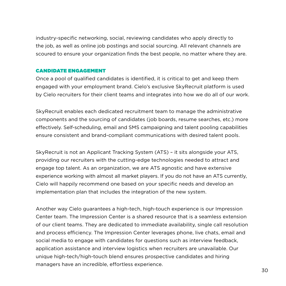industry-specific networking, social, reviewing candidates who apply directly to the job, as well as online job postings and social sourcing. All relevant channels are scoured to ensure your organization finds the best people, no matter where they are.

#### CANDIDATE ENGAGEMENT

Once a pool of qualified candidates is identified, it is critical to get and keep them engaged with your employment brand. Cielo's exclusive SkyRecruit platform is used by Cielo recruiters for their client teams and integrates into how we do all of our work.

SkyRecruit enables each dedicated recruitment team to manage the administrative components and the sourcing of candidates (job boards, resume searches, etc.) more effectively. Self-scheduling, email and SMS campaigning and talent pooling capabilities ensure consistent and brand-compliant communications with desired talent pools.

SkyRecruit is not an Applicant Tracking System (ATS) – it sits alongside your ATS, providing our recruiters with the cutting-edge technologies needed to attract and engage top talent. As an organization, we are ATS agnostic and have extensive experience working with almost all market players. If you do not have an ATS currently, Cielo will happily recommend one based on your specific needs and develop an implementation plan that includes the integration of the new system.

Another way Cielo guarantees a high-tech, high-touch experience is our Impression Center team. The Impression Center is a shared resource that is a seamless extension of our client teams. They are dedicated to immediate availability, single call resolution and process efficiency. The Impression Center leverages phone, live chats, email and social media to engage with candidates for questions such as interview feedback, application assistance and interview logistics when recruiters are unavailable. Our unique high-tech/high-touch blend ensures prospective candidates and hiring managers have an incredible, effortless experience.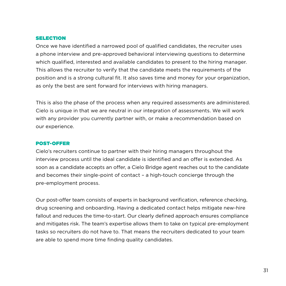#### SELECTION

Once we have identified a narrowed pool of qualified candidates, the recruiter uses a phone interview and pre-approved behavioral interviewing questions to determine which qualified, interested and available candidates to present to the hiring manager. This allows the recruiter to verify that the candidate meets the requirements of the position and is a strong cultural fit. It also saves time and money for your organization, as only the best are sent forward for interviews with hiring managers.

This is also the phase of the process when any required assessments are administered. Cielo is unique in that we are neutral in our integration of assessments. We will work with any provider you currently partner with, or make a recommendation based on our experience.

#### POST-OFFER

Cielo's recruiters continue to partner with their hiring managers throughout the interview process until the ideal candidate is identified and an offer is extended. As soon as a candidate accepts an offer, a Cielo Bridge agent reaches out to the candidate and becomes their single-point of contact – a high-touch concierge through the pre-employment process.

Our post-offer team consists of experts in background verification, reference checking, drug screening and onboarding. Having a dedicated contact helps mitigate new-hire fallout and reduces the time-to-start. Our clearly defined approach ensures compliance and mitigates risk. The team's expertise allows them to take on typical pre-employment tasks so recruiters do not have to. That means the recruiters dedicated to your team are able to spend more time finding quality candidates.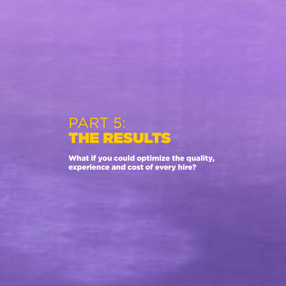# PART 5: THE RESULTS

What if you could optimize the quality, experience and cost of every hire?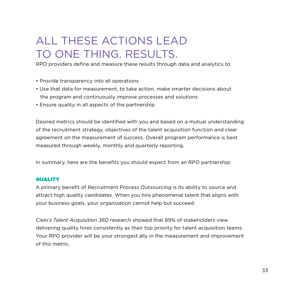## ALL THESE ACTIONS LEAD TO ONE THING. RESULTS.

RPO providers define and measure these results through data and analytics to:

- Provide transparency into all operations
- Use that data for measurement, to take action, make smarter decisions about the program and continuously improve processes and solutions
- Ensure quality in all aspects of the partnership

Desired metrics should be identified with you and based on a mutual understanding of the recruitment strategy, objectives of the talent acquisition function and clear agreement on the measurement of success. Overall program performance is best measured through weekly, monthly and quarterly reporting.

In summary, here are the benefits you should expect from an RPO partnership:

#### **QUALITY**

A primary benefit of Recruitment Process Outsourcing is its ability to source and attract high quality candidates. When you hire phenomenal talent that aligns with your business goals, your organization cannot help but succeed.

*Cielo's Talent Acquisition 360* research showed that 89% of stakeholders view delivering quality hires consistently as their top priority for talent acquisition teams. Your RPO provider will be your strongest ally in the measurement and improvement of this metric.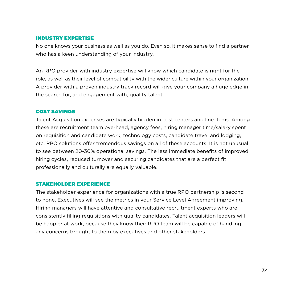#### INDUSTRY EXPERTISE

No one knows your business as well as you do. Even so, it makes sense to find a partner who has a keen understanding of your industry.

An RPO provider with industry expertise will know which candidate is right for the role, as well as their level of compatibility with the wider culture within your organization. A provider with a proven industry track record will give your company a huge edge in the search for, and engagement with, quality talent.

#### COST SAVINGS

Talent Acquisition expenses are typically hidden in cost centers and line items. Among these are recruitment team overhead, agency fees, hiring manager time/salary spent on requisition and candidate work, technology costs, candidate travel and lodging, etc. RPO solutions offer tremendous savings on all of these accounts. It is not unusual to see between 20-30% operational savings. The less immediate benefits of improved hiring cycles, reduced turnover and securing candidates that are a perfect fit professionally and culturally are equally valuable.

#### STAKEHOLDER EXPERIENCE

The stakeholder experience for organizations with a true RPO partnership is second to none. Executives will see the metrics in your Service Level Agreement improving. Hiring managers will have attentive and consultative recruitment experts who are consistently filling requisitions with quality candidates. Talent acquisition leaders will be happier at work, because they know their RPO team will be capable of handling any concerns brought to them by executives and other stakeholders.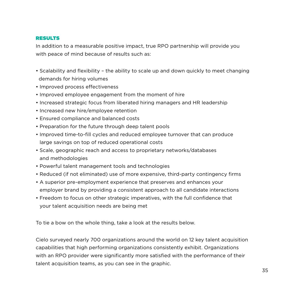#### RESULTS

In addition to a measurable positive impact, true RPO partnership will provide you with peace of mind because of results such as:

- Scalability and flexibility the ability to scale up and down quickly to meet changing demands for hiring volumes
- Improved process effectiveness
- Improved employee engagement from the moment of hire
- Increased strategic focus from liberated hiring managers and HR leadership
- Increased new hire/employee retention
- Ensured compliance and balanced costs
- Preparation for the future through deep talent pools
- Improved time-to-fill cycles and reduced employee turnover that can produce large savings on top of reduced operational costs
- Scale, geographic reach and access to proprietary networks/databases and methodologies
- Powerful talent management tools and technologies
- Reduced (if not eliminated) use of more expensive, third-party contingency firms
- A superior pre-employment experience that preserves and enhances your employer brand by providing a consistent approach to all candidate interactions
- Freedom to focus on other strategic imperatives, with the full confidence that your talent acquisition needs are being met

To tie a bow on the whole thing, take a look at the results below.

Cielo surveyed nearly 700 organizations around the world on 12 key talent acquisition capabilities that high performing organizations consistently exhibit. Organizations with an RPO provider were significantly more satisfied with the performance of their talent acquisition teams, as you can see in the graphic.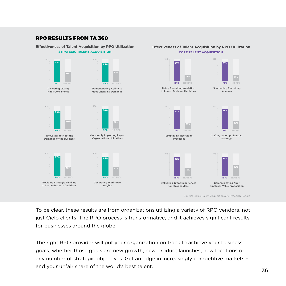#### RPO RESULTS FROM TA 360

**Effectiveness of Talent Acquisition by RPO Utilization** STRATEGIC TALENT ACQUISITION



Source: Cielo's Talent Acquisition 360 Research Report

**Effectiveness of Talent Acquisition by RPO Utilization** CORE TALENT ACQUISITION

To be clear, these results are from organizations utilizing a variety of RPO vendors, not just Cielo clients. The RPO process is transformative, and it achieves significant results for businesses around the globe.

The right RPO provider will put your organization on track to achieve your business goals, whether those goals are new growth, new product launches, new locations or any number of strategic objectives. Get an edge in increasingly competitive markets – and your unfair share of the world's best talent.<br>36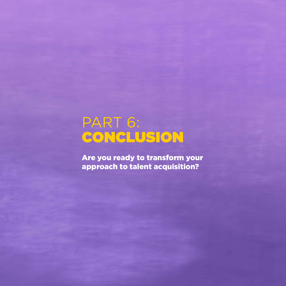# PART 6: CONCLUSION

Are you ready to transform your approach to talent acquisition?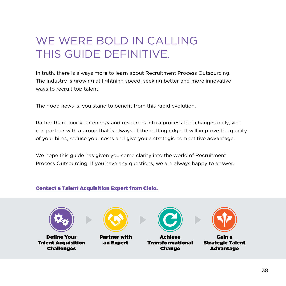## WE WERE BOLD IN CALLING THIS GUIDE DEFINITIVE.

In truth, there is always more to learn about Recruitment Process Outsourcing. The industry is growing at lightning speed, seeking better and more innovative ways to recruit top talent.

The good news is, you stand to benefit from this rapid evolution.

Rather than pour your energy and resources into a process that changes daily, you can partner with a group that is always at the cutting edge. It will improve the quality of your hires, reduce your costs and give you a strategic competitive advantage.

We hope this guide has given you some clarity into the world of Recruitment Process Outsourcing. If you have any questions, we are always happy to answer.

#### [Contact a Talent Acquisition Expert from Cielo.](http://resources.cielotalent.com/contact-us-rsp-lp.html)



Define Your Talent Acquisition Challenges



Partner with an Expert



Achieve Transformational Change



Gain a Strategic Talent Advantage